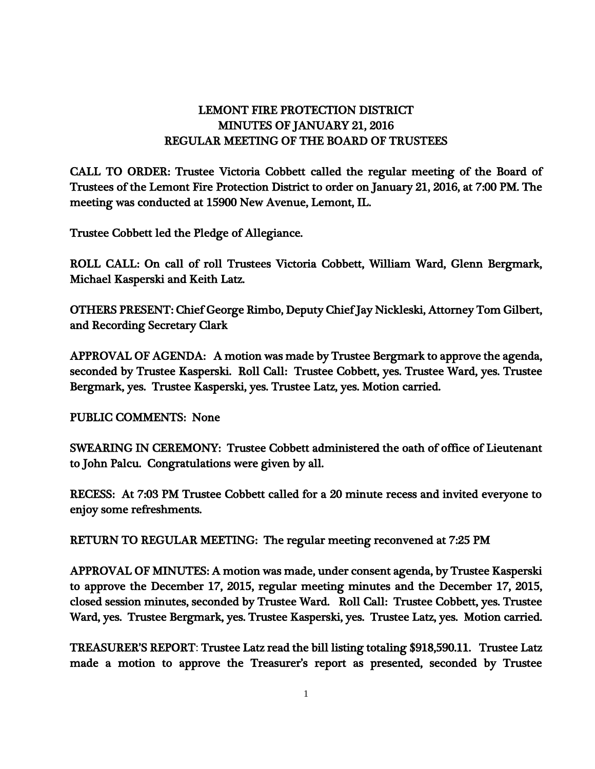## LEMONT FIRE PROTECTION DISTRICT MINUTES OF JANUARY 21, 2016 REGULAR MEETING OF THE BOARD OF TRUSTEES

CALL TO ORDER: Trustee Victoria Cobbett called the regular meeting of the Board of Trustees of the Lemont Fire Protection District to order on January 21, 2016, at 7:00 PM. The meeting was conducted at 15900 New Avenue, Lemont, IL.

Trustee Cobbett led the Pledge of Allegiance.

ROLL CALL: On call of roll Trustees Victoria Cobbett, William Ward, Glenn Bergmark, Michael Kasperski and Keith Latz.

OTHERS PRESENT: Chief George Rimbo, Deputy Chief Jay Nickleski, Attorney Tom Gilbert, and Recording Secretary Clark

APPROVAL OF AGENDA: A motion was made by Trustee Bergmark to approve the agenda, seconded by Trustee Kasperski. Roll Call: Trustee Cobbett, yes. Trustee Ward, yes. Trustee Bergmark, yes. Trustee Kasperski, yes. Trustee Latz, yes. Motion carried.

PUBLIC COMMENTS: None

SWEARING IN CEREMONY: Trustee Cobbett administered the oath of office of Lieutenant to John Palcu. Congratulations were given by all.

RECESS: At 7:03 PM Trustee Cobbett called for a 20 minute recess and invited everyone to enjoy some refreshments.

RETURN TO REGULAR MEETING: The regular meeting reconvened at 7:25 PM

APPROVAL OF MINUTES: A motion was made, under consent agenda, by Trustee Kasperski to approve the December 17, 2015, regular meeting minutes and the December 17, 2015, closed session minutes, seconded by Trustee Ward. Roll Call: Trustee Cobbett, yes. Trustee Ward, yes. Trustee Bergmark, yes. Trustee Kasperski, yes. Trustee Latz, yes. Motion carried.

TREASURER'S REPORT: Trustee Latz read the bill listing totaling \$918,590.11. Trustee Latz made a motion to approve the Treasurer's report as presented, seconded by Trustee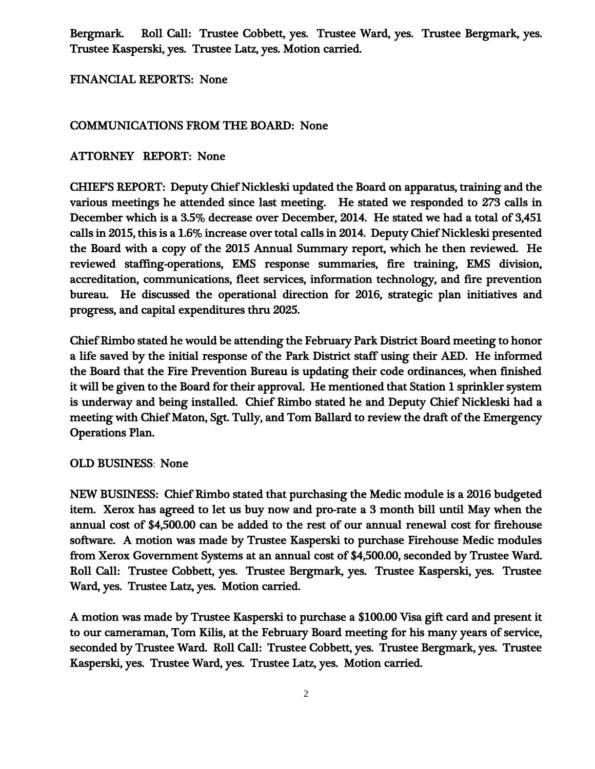Bergmark. Roll Call: Trustee Cobbett, yes. Trustee Ward, yes. Trustee Bergmark, yes. Trustee Kasperski, yes. Trustee Latz, yes. Motion carried.

FINANCIAL REPORTS: None

## COMMUNICATIONS FROM THE BOARD: None

## ATTORNEY REPORT: None

CHIEF'S REPORT: Deputy Chief Nickleski updated the Board on apparatus, training and the various meetings he attended since last meeting. He stated we responded to 273 calls in December which is a 3.5% decrease over December, 2014. He stated we had a total of 3,451 calls in 2015, this is a 1.6% increase over total calls in 2014. Deputy Chief Nickleski presented the Board with a copy of the 2015 Annual Summary report, which he then reviewed. He reviewed staffing-operations, EMS response summaries, fire training, EMS division, accreditation, communications, fleet services, information technology, and fire prevention bureau. He discussed the operational direction for 2016, strategic plan initiatives and progress, and capital expenditures thru 2025.

Chief Rimbo stated he would be attending the February Park District Board meeting to honor a life saved by the initial response of the Park District staff using their AED. He informed the Board that the Fire Prevention Bureau is updating their code ordinances, when finished it will be given to the Board for their approval. He mentioned that Station 1 sprinkler system is underway and being installed. Chief Rimbo stated he and Deputy Chief Nickleski had a meeting with Chief Maton, Sgt. Tully, and Tom Ballard to review the draft of the Emergency Operations Plan.

## OLD BUSINESS: None

NEW BUSINESS: Chief Rimbo stated that purchasing the Medic module is a 2016 budgeted item. Xerox has agreed to let us buy now and pro-rate a 3 month bill until May when the annual cost of \$4,500.00 can be added to the rest of our annual renewal cost for firehouse software. A motion was made by Trustee Kasperski to purchase Firehouse Medic modules from Xerox Government Systems at an annual cost of \$4,500.00, seconded by Trustee Ward. Roll Call: Trustee Cobbett, yes. Trustee Bergmark, yes. Trustee Kasperski, yes. Trustee Ward, yes. Trustee Latz, yes. Motion carried.

A motion was made by Trustee Kasperski to purchase a \$100.00 Visa gift card and present it to our cameraman, Tom Kilis, at the February Board meeting for his many years of service, seconded by Trustee Ward. Roll Call: Trustee Cobbett, yes. Trustee Bergmark, yes. Trustee Kasperski, yes. Trustee Ward, yes. Trustee Latz, yes. Motion carried.